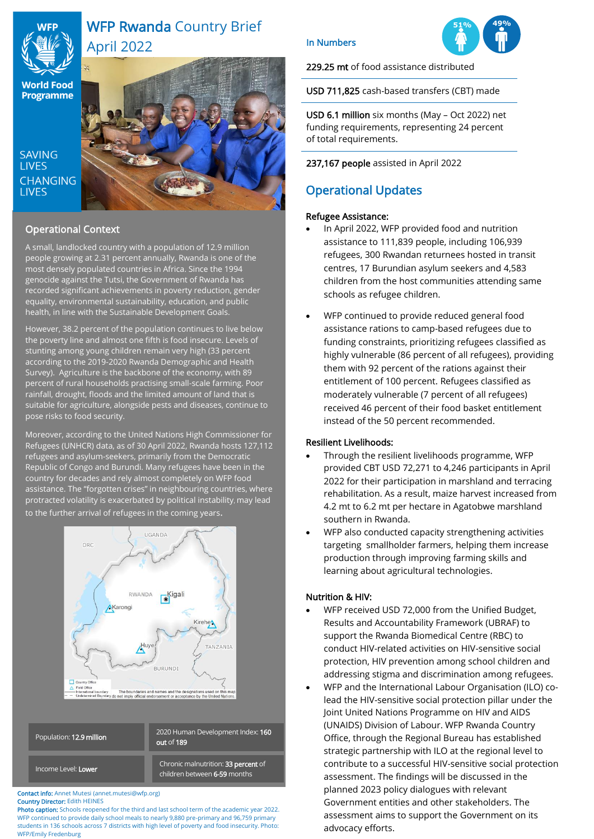

# WFP Rwanda Country Brief April 2022

**World Food Programme** 

**SAVING LIVES CHANGING LIVES** 



## Operational Context

A small, landlocked country with a population of 12.9 million people growing at 2.31 percent annually, Rwanda is one of the most densely populated countries in Africa. Since the 1994 genocide against the Tutsi, the Government of Rwanda has recorded significant achievements in poverty reduction, gender equality, environmental sustainability, education, and public health, in line with the Sustainable Development Goals.

However, 38.2 percent of the population continues to live below the poverty line and almost one fifth is food insecure. Levels of stunting among young children remain very high (33 percent according to the 2019-2020 Rwanda Demographic and Health Survey). Agriculture is the backbone of the economy, with 89 percent of rural households practising small-scale farming. Poor rainfall, drought, floods and the limited amount of land that is suitable for agriculture, alongside pests and diseases, continue to pose risks to food security.

Moreover, according to the United Nations High Commissioner for Refugees (UNHCR) data, as of 30 April 2022, Rwanda hosts 127,112 refugees and asylum-seekers, primarily from the Democratic Republic of Congo and Burundi. Many refugees have been in the country for decades and rely almost completely on WFP food assistance. The "forgotten crises" in neighbouring countries, where protracted volatility is exacerbated by political instability, may lead

to the further arrival of refugees in the coming years.



| Population: 12.9 million   | 2020 Human Development Index: 160<br>out of $189$                   |
|----------------------------|---------------------------------------------------------------------|
| Income Level: <b>Lower</b> | Chronic malnutrition: 33 percent of<br>children between 6-59 months |

#### Contact info: Annet Mutesi (annet.mutesi@wfp.org) Country Director: Edith HEINES

Photo caption: Schools reopened for the third and last school term of the academic year 2022. WFP continued to provide daily school meals to nearly 9,880 pre-primary and 96,759 primary students in 136 schools across 7 districts with high level of poverty and food insecurity. Photo: WFP/Emily Fredenburg

## In Numbers



229.25 mt of food assistance distributed

USD 711,825 cash-based transfers (CBT) made

USD 6.1 million six months (May – Oct 2022) net funding requirements, representing 24 percent of total requirements.

237,167 people assisted in April 2022

## Operational Updates

## Refugee Assistance:

- In April 2022, WFP provided food and nutrition assistance to 111,839 people, including 106,939 refugees, 300 Rwandan returnees hosted in transit centres, 17 Burundian asylum seekers and 4,583 children from the host communities attending same schools as refugee children.
- WFP continued to provide reduced general food assistance rations to camp-based refugees due to funding constraints, prioritizing refugees classified as highly vulnerable (86 percent of all refugees), providing them with 92 percent of the rations against their entitlement of 100 percent. Refugees classified as moderately vulnerable (7 percent of all refugees) received 46 percent of their food basket entitlement instead of the 50 percent recommended.

## Resilient Livelihoods:

- Through the resilient livelihoods programme, WFP provided CBT USD 72,271 to 4,246 participants in April 2022 for their participation in marshland and terracing rehabilitation. As a result, maize harvest increased from 4.2 mt to 6.2 mt per hectare in Agatobwe marshland southern in Rwanda.
- WFP also conducted capacity strengthening activities targeting smallholder farmers, helping them increase production through improving farming skills and learning about agricultural technologies.

## Nutrition & HIV:

- WFP received USD 72,000 from the Unified Budget, Results and Accountability Framework (UBRAF) to support the Rwanda Biomedical Centre (RBC) to conduct HIV-related activities on HIV-sensitive social protection, HIV prevention among school children and addressing stigma and discrimination among refugees.
- WFP and the International Labour Organisation (ILO) colead the HIV-sensitive social protection pillar under the Joint United Nations Programme on HIV and AIDS (UNAIDS) Division of Labour. WFP Rwanda Country Office, through the Regional Bureau has established strategic partnership with ILO at the regional level to contribute to a successful HIV-sensitive social protection assessment. The findings will be discussed in the planned 2023 policy dialogues with relevant Government entities and other stakeholders. The assessment aims to support the Government on its advocacy efforts.